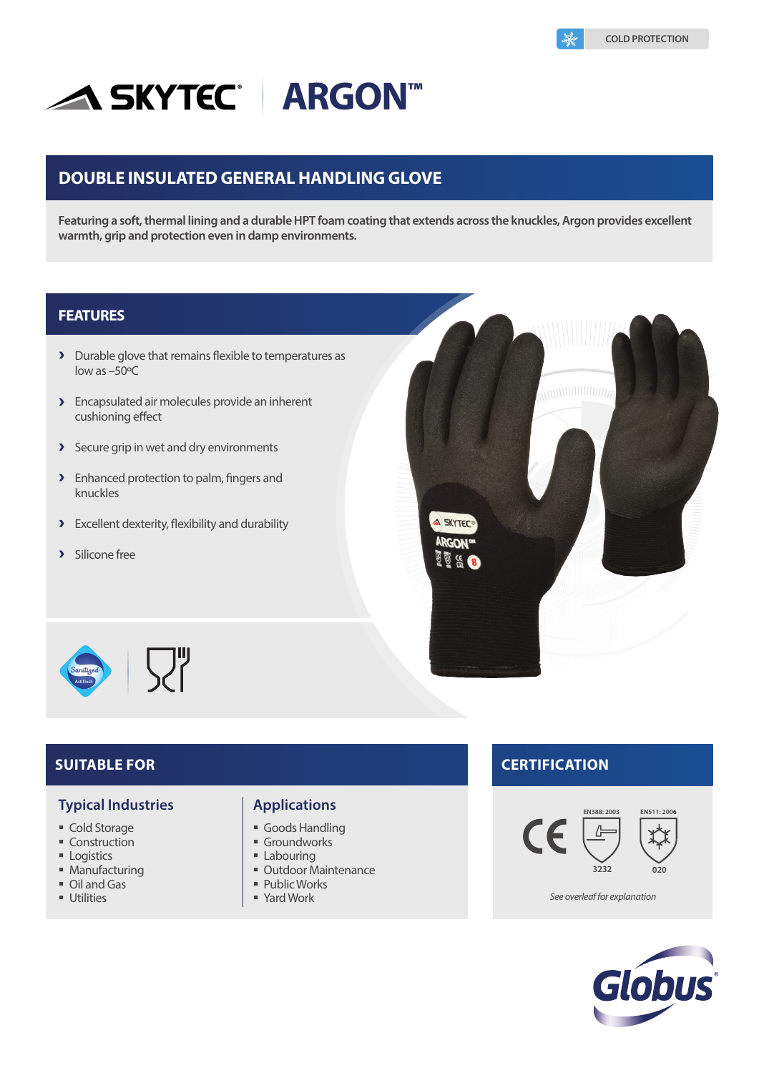# **ASKYTEC® ARGON™**

# **DOUBLE INSULATED GENERAL HANDLING GLOVE**

**Featuring a soft, thermal lining and a durable HPT foam coating that extends across the knuckles, Argon provides excellent warmth, grip and protection even in damp environments.**

### **FEATURES**

- Durable glove that remains flexible to temperatures as low as –50ºC
- **>** Encapsulated air molecules provide an inherent cushioning effect
- Secure grip in wet and dry environments
- **>** Enhanced protection to palm, fingers and knuckles
- Excellent dexterity, flexibility and durability
- > Silicone free





#### **Typical Industries**

- Cold Storage
- **Construction**
- **Logistics**
- **Manufacturing**
- Oil and Gas
- **Utilities**

#### **Applications**

- Goods Handling
- **Groundworks**
- **Labouring**
- **Outdoor Maintenance**
- Public Works
- 

### **SUITABLE FOR CERTIFICATION**





Yard Work *See overleaf for explanation*